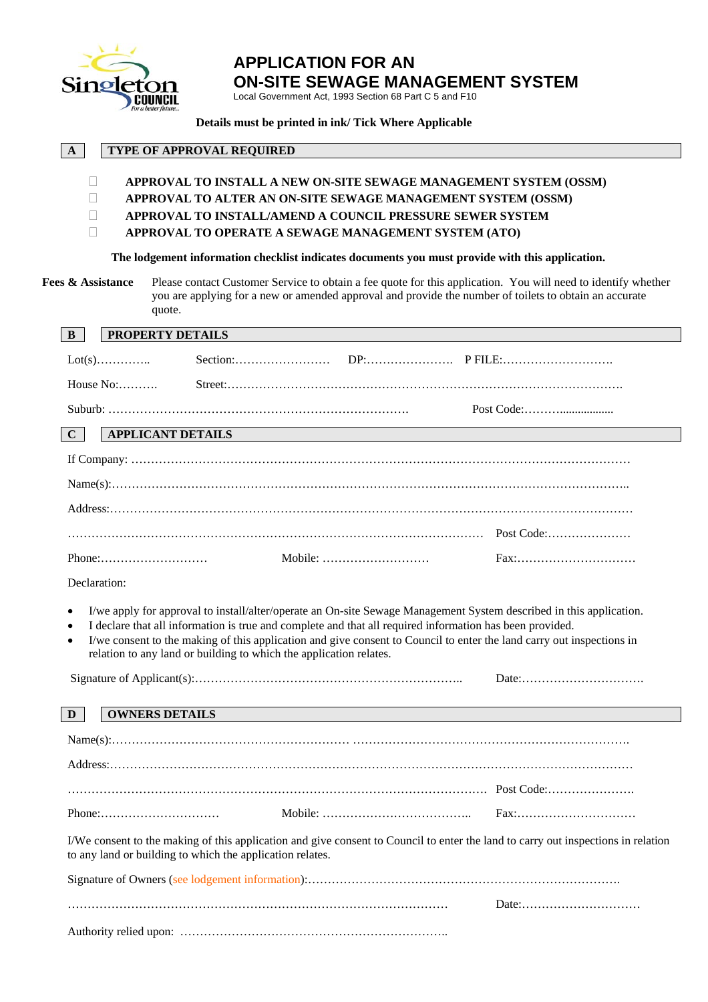

# **APPLICATION FOR AN ON-SITE SEWAGE MANAGEMENT SYSTEM**

Local Government Act, 1993 Section 68 Part C 5 and F10

#### **Details must be printed in ink/ Tick Where Applicable**

| A                                                                                                                                                                                                                                                                                                                                                         | <b>TYPE OF APPROVAL REQUIRED</b>                                                                                  |  |                                                                                                                                                                                                                                                                                                                                                          |  |  |  |
|-----------------------------------------------------------------------------------------------------------------------------------------------------------------------------------------------------------------------------------------------------------------------------------------------------------------------------------------------------------|-------------------------------------------------------------------------------------------------------------------|--|----------------------------------------------------------------------------------------------------------------------------------------------------------------------------------------------------------------------------------------------------------------------------------------------------------------------------------------------------------|--|--|--|
| $\mathbf{L}$<br>$\Box$<br>$\Box$                                                                                                                                                                                                                                                                                                                          | APPROVAL TO INSTALL/AMEND A COUNCIL PRESSURE SEWER SYSTEM<br>APPROVAL TO OPERATE A SEWAGE MANAGEMENT SYSTEM (ATO) |  | APPROVAL TO INSTALL A NEW ON-SITE SEWAGE MANAGEMENT SYSTEM (OSSM)<br>APPROVAL TO ALTER AN ON-SITE SEWAGE MANAGEMENT SYSTEM (OSSM)                                                                                                                                                                                                                        |  |  |  |
| The lodgement information checklist indicates documents you must provide with this application.<br>Fees & Assistance<br>Please contact Customer Service to obtain a fee quote for this application. You will need to identify whether<br>you are applying for a new or amended approval and provide the number of toilets to obtain an accurate<br>quote. |                                                                                                                   |  |                                                                                                                                                                                                                                                                                                                                                          |  |  |  |
| $\mathbf{B}$                                                                                                                                                                                                                                                                                                                                              | PROPERTY DETAILS                                                                                                  |  |                                                                                                                                                                                                                                                                                                                                                          |  |  |  |
|                                                                                                                                                                                                                                                                                                                                                           |                                                                                                                   |  |                                                                                                                                                                                                                                                                                                                                                          |  |  |  |
| House No:                                                                                                                                                                                                                                                                                                                                                 |                                                                                                                   |  |                                                                                                                                                                                                                                                                                                                                                          |  |  |  |
| $\mathbf{C}$                                                                                                                                                                                                                                                                                                                                              | <b>APPLICANT DETAILS</b>                                                                                          |  |                                                                                                                                                                                                                                                                                                                                                          |  |  |  |
|                                                                                                                                                                                                                                                                                                                                                           |                                                                                                                   |  |                                                                                                                                                                                                                                                                                                                                                          |  |  |  |
|                                                                                                                                                                                                                                                                                                                                                           |                                                                                                                   |  |                                                                                                                                                                                                                                                                                                                                                          |  |  |  |
|                                                                                                                                                                                                                                                                                                                                                           |                                                                                                                   |  |                                                                                                                                                                                                                                                                                                                                                          |  |  |  |
|                                                                                                                                                                                                                                                                                                                                                           |                                                                                                                   |  |                                                                                                                                                                                                                                                                                                                                                          |  |  |  |
|                                                                                                                                                                                                                                                                                                                                                           |                                                                                                                   |  |                                                                                                                                                                                                                                                                                                                                                          |  |  |  |
|                                                                                                                                                                                                                                                                                                                                                           | $Phone: \ldots \ldots \ldots \ldots \ldots \ldots \ldots$                                                         |  | Fax:                                                                                                                                                                                                                                                                                                                                                     |  |  |  |
| Declaration:                                                                                                                                                                                                                                                                                                                                              |                                                                                                                   |  |                                                                                                                                                                                                                                                                                                                                                          |  |  |  |
| $\bullet$                                                                                                                                                                                                                                                                                                                                                 | relation to any land or building to which the application relates.                                                |  | I/we apply for approval to install/alter/operate an On-site Sewage Management System described in this application.<br>I declare that all information is true and complete and that all required information has been provided.<br>I/we consent to the making of this application and give consent to Council to enter the land carry out inspections in |  |  |  |
|                                                                                                                                                                                                                                                                                                                                                           |                                                                                                                   |  |                                                                                                                                                                                                                                                                                                                                                          |  |  |  |
| D                                                                                                                                                                                                                                                                                                                                                         | <b>OWNERS DETAILS</b>                                                                                             |  |                                                                                                                                                                                                                                                                                                                                                          |  |  |  |
|                                                                                                                                                                                                                                                                                                                                                           |                                                                                                                   |  |                                                                                                                                                                                                                                                                                                                                                          |  |  |  |
|                                                                                                                                                                                                                                                                                                                                                           |                                                                                                                   |  |                                                                                                                                                                                                                                                                                                                                                          |  |  |  |
|                                                                                                                                                                                                                                                                                                                                                           |                                                                                                                   |  |                                                                                                                                                                                                                                                                                                                                                          |  |  |  |
|                                                                                                                                                                                                                                                                                                                                                           |                                                                                                                   |  |                                                                                                                                                                                                                                                                                                                                                          |  |  |  |
|                                                                                                                                                                                                                                                                                                                                                           | $Phone: \ldots \ldots \ldots \ldots \ldots \ldots \ldots \ldots$                                                  |  | Fax:                                                                                                                                                                                                                                                                                                                                                     |  |  |  |
|                                                                                                                                                                                                                                                                                                                                                           | to any land or building to which the application relates.                                                         |  | I/We consent to the making of this application and give consent to Council to enter the land to carry out inspections in relation                                                                                                                                                                                                                        |  |  |  |
|                                                                                                                                                                                                                                                                                                                                                           |                                                                                                                   |  |                                                                                                                                                                                                                                                                                                                                                          |  |  |  |
|                                                                                                                                                                                                                                                                                                                                                           |                                                                                                                   |  |                                                                                                                                                                                                                                                                                                                                                          |  |  |  |
|                                                                                                                                                                                                                                                                                                                                                           |                                                                                                                   |  |                                                                                                                                                                                                                                                                                                                                                          |  |  |  |
|                                                                                                                                                                                                                                                                                                                                                           |                                                                                                                   |  |                                                                                                                                                                                                                                                                                                                                                          |  |  |  |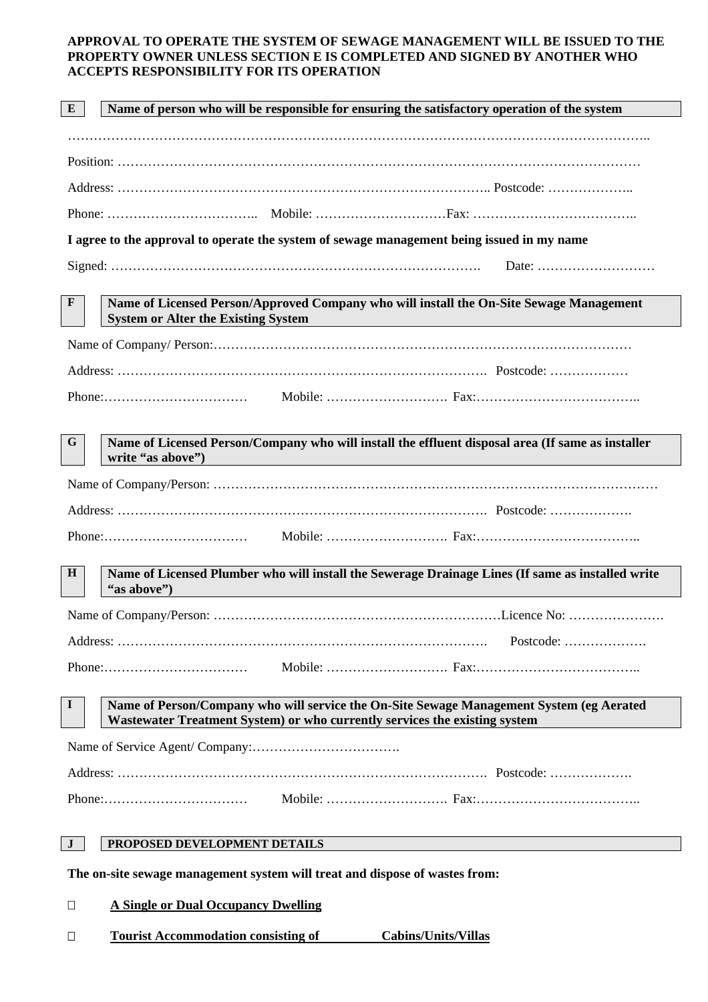#### **APPROVAL TO OPERATE THE SYSTEM OF SEWAGE MANAGEMENT WILL BE ISSUED TO THE PROPERTY OWNER UNLESS SECTION E IS COMPLETED AND SIGNED BY ANOTHER WHO ACCEPTS RESPONSIBILITY FOR ITS OPERATION**

| ${\bf E}$                                                                   | Name of person who will be responsible for ensuring the satisfactory operation of the system                                                                           |  |  |  |  |  |
|-----------------------------------------------------------------------------|------------------------------------------------------------------------------------------------------------------------------------------------------------------------|--|--|--|--|--|
|                                                                             |                                                                                                                                                                        |  |  |  |  |  |
|                                                                             |                                                                                                                                                                        |  |  |  |  |  |
|                                                                             |                                                                                                                                                                        |  |  |  |  |  |
|                                                                             |                                                                                                                                                                        |  |  |  |  |  |
|                                                                             | I agree to the approval to operate the system of sewage management being issued in my name                                                                             |  |  |  |  |  |
| Date: $\dots\dots\dots\dots\dots\dots\dots\dots\dots\dots\dots\dots$        |                                                                                                                                                                        |  |  |  |  |  |
| $\mathbf{F}$                                                                | Name of Licensed Person/Approved Company who will install the On-Site Sewage Management<br><b>System or Alter the Existing System</b>                                  |  |  |  |  |  |
|                                                                             |                                                                                                                                                                        |  |  |  |  |  |
|                                                                             |                                                                                                                                                                        |  |  |  |  |  |
|                                                                             |                                                                                                                                                                        |  |  |  |  |  |
|                                                                             |                                                                                                                                                                        |  |  |  |  |  |
| G                                                                           | Name of Licensed Person/Company who will install the effluent disposal area (If same as installer<br>write "as above")                                                 |  |  |  |  |  |
|                                                                             |                                                                                                                                                                        |  |  |  |  |  |
|                                                                             |                                                                                                                                                                        |  |  |  |  |  |
|                                                                             |                                                                                                                                                                        |  |  |  |  |  |
| H                                                                           | Name of Licensed Plumber who will install the Sewerage Drainage Lines (If same as installed write<br>"as above")                                                       |  |  |  |  |  |
|                                                                             |                                                                                                                                                                        |  |  |  |  |  |
|                                                                             | Postcode:                                                                                                                                                              |  |  |  |  |  |
|                                                                             | $Phone: \ldots \ldots \ldots \ldots \ldots \ldots \ldots \ldots \ldots$                                                                                                |  |  |  |  |  |
| $\bf{I}$                                                                    | Name of Person/Company who will service the On-Site Sewage Management System (eg Aerated<br>Wastewater Treatment System) or who currently services the existing system |  |  |  |  |  |
|                                                                             |                                                                                                                                                                        |  |  |  |  |  |
|                                                                             |                                                                                                                                                                        |  |  |  |  |  |
|                                                                             |                                                                                                                                                                        |  |  |  |  |  |
| $\mathbf{J}$                                                                | PROPOSED DEVELOPMENT DETAILS                                                                                                                                           |  |  |  |  |  |
| The on-site sewage management system will treat and dispose of wastes from: |                                                                                                                                                                        |  |  |  |  |  |
| $\Box$                                                                      | <b>A Single or Dual Occupancy Dwelling</b>                                                                                                                             |  |  |  |  |  |
| $\Box$                                                                      | <b>Tourist Accommodation consisting of</b><br><b>Cabins/Units/Villas</b>                                                                                               |  |  |  |  |  |
|                                                                             |                                                                                                                                                                        |  |  |  |  |  |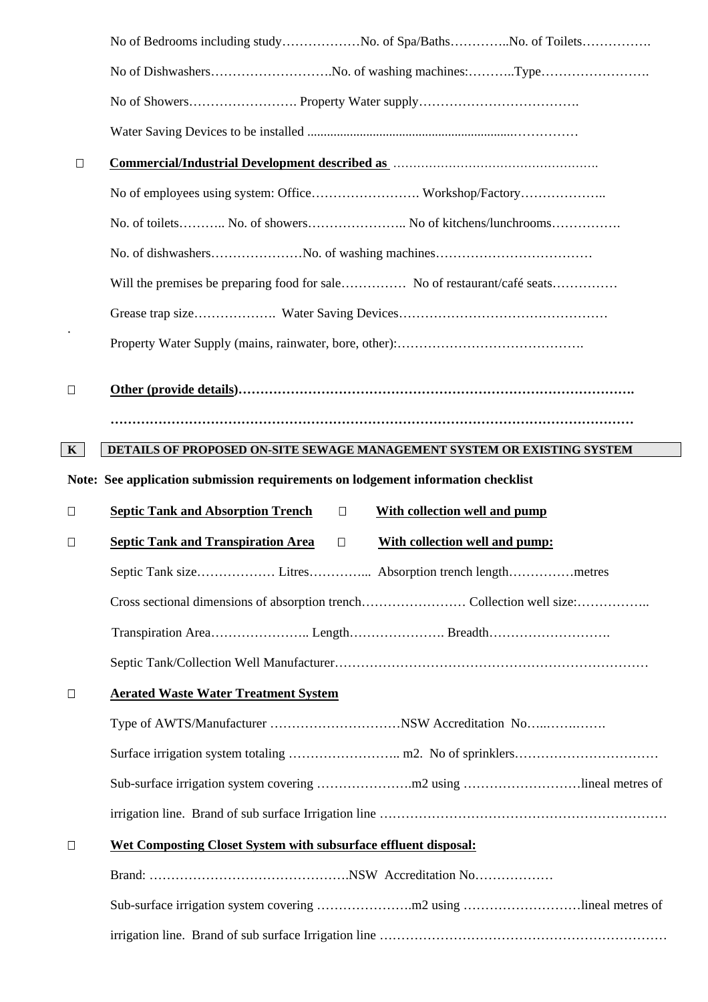|              | No of Bedrooms including studyNo. of Spa/BathsNo. of Toilets                                                                                                                                                                   |  |  |  |  |  |
|--------------|--------------------------------------------------------------------------------------------------------------------------------------------------------------------------------------------------------------------------------|--|--|--|--|--|
|              |                                                                                                                                                                                                                                |  |  |  |  |  |
|              |                                                                                                                                                                                                                                |  |  |  |  |  |
|              |                                                                                                                                                                                                                                |  |  |  |  |  |
| $\Box$       | Commercial/Industrial Development described as manufactured as the control of the control of the control of the control of the control of the control of the control of the control of the control of the control of the contr |  |  |  |  |  |
|              |                                                                                                                                                                                                                                |  |  |  |  |  |
|              | No. of toilets No. of showers No of kitchens/lunchrooms                                                                                                                                                                        |  |  |  |  |  |
|              |                                                                                                                                                                                                                                |  |  |  |  |  |
|              | Will the premises be preparing food for sale No of restaurant/café seats                                                                                                                                                       |  |  |  |  |  |
|              |                                                                                                                                                                                                                                |  |  |  |  |  |
|              |                                                                                                                                                                                                                                |  |  |  |  |  |
| $\Box$       |                                                                                                                                                                                                                                |  |  |  |  |  |
|              |                                                                                                                                                                                                                                |  |  |  |  |  |
| $\mathbf{K}$ | DETAILS OF PROPOSED ON-SITE SEWAGE MANAGEMENT SYSTEM OR EXISTING SYSTEM                                                                                                                                                        |  |  |  |  |  |
|              |                                                                                                                                                                                                                                |  |  |  |  |  |
|              | Note: See application submission requirements on lodgement information checklist                                                                                                                                               |  |  |  |  |  |
| $\Box$       | <b>Septic Tank and Absorption Trench</b><br>With collection well and pump<br>$\Box$                                                                                                                                            |  |  |  |  |  |
| $\Box$       | <b>Septic Tank and Transpiration Area</b><br>With collection well and pump:<br>$\Box$                                                                                                                                          |  |  |  |  |  |
|              |                                                                                                                                                                                                                                |  |  |  |  |  |
|              |                                                                                                                                                                                                                                |  |  |  |  |  |
|              | Transpiration AreaLengthBreadth                                                                                                                                                                                                |  |  |  |  |  |
|              |                                                                                                                                                                                                                                |  |  |  |  |  |
| $\Box$       | <b>Aerated Waste Water Treatment System</b>                                                                                                                                                                                    |  |  |  |  |  |
|              |                                                                                                                                                                                                                                |  |  |  |  |  |
|              |                                                                                                                                                                                                                                |  |  |  |  |  |
|              |                                                                                                                                                                                                                                |  |  |  |  |  |
|              |                                                                                                                                                                                                                                |  |  |  |  |  |
| $\Box$       | Wet Composting Closet System with subsurface effluent disposal:                                                                                                                                                                |  |  |  |  |  |
|              |                                                                                                                                                                                                                                |  |  |  |  |  |
|              |                                                                                                                                                                                                                                |  |  |  |  |  |
|              |                                                                                                                                                                                                                                |  |  |  |  |  |